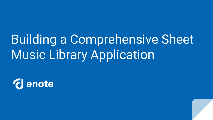# Building a Comprehensive Sheet Music Library Application

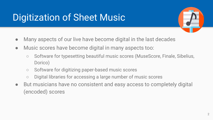# Digitization of Sheet Music



- Many aspects of our live have become digital in the last decades
- Music scores have become digital in many aspects too:
	- Software for typesetting beautiful music scores (MuseScore, Finale, Sibelius, Dorico)
	- Software for digitizing paper-based music scores
	- Digital libraries for accessing a large number of music scores
- But musicians have no consistent and easy access to completely digital (encoded) scores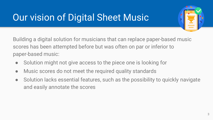# Our vision of Digital Sheet Music



Building a digital solution for musicians that can replace paper-based music scores has been attempted before but was often on par or inferior to paper-based music:

- Solution might not give access to the piece one is looking for
- Music scores do not meet the required quality standards
- Solution lacks essential features, such as the possibility to quickly navigate and easily annotate the scores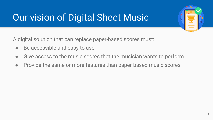# Our vision of Digital Sheet Music

A digital solution that can replace paper-based scores must:

- Be accessible and easy to use
- Give access to the music scores that the musician wants to perform
- Provide the same or more features than paper-based music scores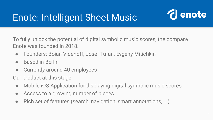## Enote: Intelligent Sheet Music



To fully unlock the potential of digital symbolic music scores, the company Enote was founded in 2018.

- Founders: Boian Videnoff, Josef Tufan, Evgeny Mitichkin
- Based in Berlin
- Currently around 40 employees

Our product at this stage:

- Mobile iOS Application for displaying digital symbolic music scores
- Access to a growing number of pieces
- Rich set of features (search, navigation, smart annotations, ...)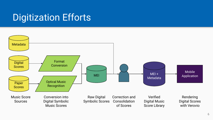#### Digitization Efforts

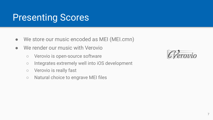#### Presenting Scores

- We store our music encoded as MEI (MEI.cmn)
- We render our music with Verovio
	- Verovio is open-source software
	- Integrates extremely well into iOS development
	- Verovio is really fast
	- Natural choice to engrave MEI files

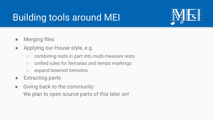## Building tools around MEI



- Merging files
- Applying our House style, e.g.
	- combining rests in part into multi-measure rests
	- unified rules for fermatas and tempo markings
	- expand beamed tremolos
- Extracting parts
- Giving back to the community: We plan to open source parts of this later on!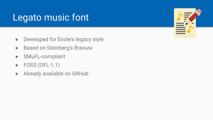#### Legato music font

- Developed for Enote's legacy style
- Based on Steinberg's Bravura
- SMuFL-compliant
- FOSS (OFL-1.1)
- Already available on GitHub

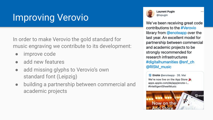## Improving Verovio

In order to make Verovio the gold standard for music engraving we contribute to its development:

- improve code
- add new features
- add missing glyphs to Verovio's own standard font (Leipzig)
- building a partnership between commercial and academic projects



**Laurent Pugin** @|xpugin

We've been receiving great code contributions to the #Verovio library from @enoteapp over the last year. An excellent model for partnership between commercial and academic projects to be strongly recommended for research infrastructures #digitalhumanities @snf\_ch @RISM music

U Enote @enoteapp . 26. Mai We're now live on the App Store apps.apple.com/de/app/enote-i... #IntelligentSheetMusic

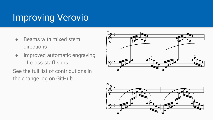## Improving Verovio

- Beams with mixed stem directions
- Improved automatic engraving of cross-staff slurs

See the full list of contributions in the change log on GitHub.



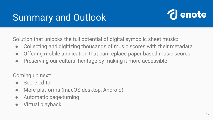### Summary and Outlook



Solution that unlocks the full potential of digital symbolic sheet music:

- Collecting and digitizing thousands of music scores with their metadata
- Offering mobile application that can replace paper-based music scores
- Preserving our cultural heritage by making it more accessible

Coming up next:

- Score editor
- More platforms (macOS desktop, Android)
- Automatic page-turning
- Virtual playback